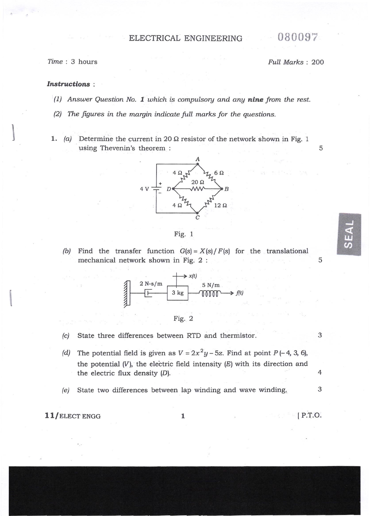## ELECTRICAL ENGINEERING 080097

fime : 3 hours Full Marks : 2OO

5

5

မျာ<br>ဟ

## Instructions :

- (1) Answer Question No. 1 which is compulsory and any nine from the rest.
- (2) The figures in the margin indicate full marks for the questions.
- (a) Determine the current in 20  $\Omega$  resistor of the network shown in Fig. 1 using Thevenin's theorem : 1





(b) Find the transfer function  $G(s) = X(s)/F(s)$  for the translational mechanical network shown in Fig. 2 :

> $\geq x/t$ 2 N-s/m **THE REAL PROPERTY** 5 N/m 3 kg mm flt)



## (c) State three differences between RTD and thermistor. 3

- (d) The potential field is given as  $V = 2x^2y 5z$ . Find at point  $P(-4, 3, 6)$ , the potential  $(V)$ , the electric field intensity  $(E)$  with its direction and the electric flux density (D).
- (e) State two differences between lap winding and wave winding.

l1/ELECT ENGG <sup>1</sup>

lP.T.O.

4

3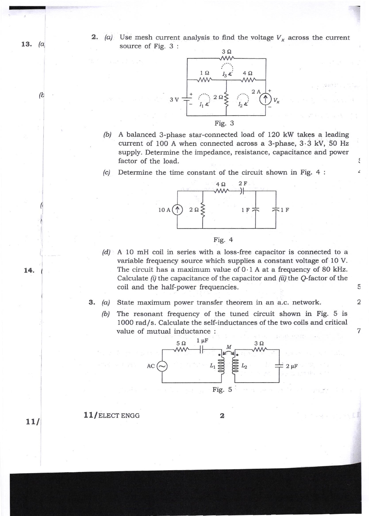**2.** (a) Use mesh current analysis to find the voltage  $V_x$  across the current source of Fig. 3:  $3\Omega$ 



[b/ A balanced 3-phase star-connected load of 12O kW takes a leading current of 1OO A when connected across a 3-phase, 3.3 kV, 50 Hz supply. Determine the impedance, resistance, capacitance and power factor of the load.

(c) Determine the time constant of the circuit shown in Fig. 4 :



$$
Fig. 4
$$

(d) A 10 mH coil in series with a loss-free capacitor is connected to <sup>a</sup> variable frequency source which supplies a constant voltage of 10 V. The circuit has a maximum value of  $0.1$  A at a frequency of 80 kHz. Calculate  $(i)$  the capacitance of the capacitor and  $(ii)$  the Q-factor of the coil and the half-power frequencies,

5

 $\ddot{\cdot}$  $\epsilon$ 

2

7

3 (a) State maximum power transfer theorem in an a.c. network.

(b) The resonant frequency of the tuned circuit shown in Fig. 5 is 1000 rad/s. Calculate the self-inductances of the two coils and critical value of mutual inductance :



 $11$ /ELECT ENGG  $2$ 

14.

13.  $(a)$ 

(b

('